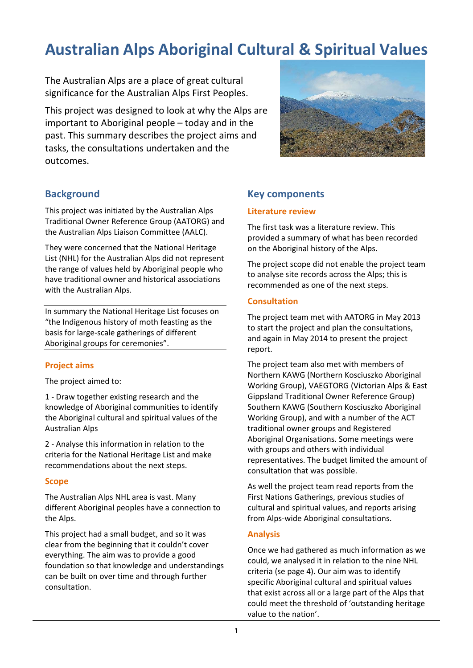# **Australian Alps Aboriginal Cultural & Spiritual Values**

The Australian Alps are a place of great cultural significance for the Australian Alps First Peoples.

This project was designed to look at why the Alps are important to Aboriginal people – today and in the past. This summary describes the project aims and tasks, the consultations undertaken and the outcomes.



### **Background**

This project was initiated by the Australian Alps Traditional Owner Reference Group (AATORG) and the Australian Alps Liaison Committee (AALC).

They were concerned that the National Heritage List (NHL) for the Australian Alps did not represent the range of values held by Aboriginal people who have traditional owner and historical associations with the Australian Alps.

In summary the National Heritage List focuses on "the Indigenous history of moth feasting as the basis for large‐scale gatherings of different Aboriginal groups for ceremonies".

### **Project aims**

The project aimed to:

1 ‐ Draw together existing research and the knowledge of Aboriginal communities to identify the Aboriginal cultural and spiritual values of the Australian Alps

2 ‐ Analyse this information in relation to the criteria for the National Heritage List and make recommendations about the next steps.

### **Scope**

The Australian Alps NHL area is vast. Many different Aboriginal peoples have a connection to the Alps.

This project had a small budget, and so it was clear from the beginning that it couldn't cover everything. The aim was to provide a good foundation so that knowledge and understandings can be built on over time and through further consultation.

### **Key components**

#### **Literature review**

The first task was a literature review. This provided a summary of what has been recorded on the Aboriginal history of the Alps.

The project scope did not enable the project team to analyse site records across the Alps; this is recommended as one of the next steps.

### **Consultation**

The project team met with AATORG in May 2013 to start the project and plan the consultations, and again in May 2014 to present the project report.

The project team also met with members of Northern KAWG (Northern Kosciuszko Aboriginal Working Group), VAEGTORG (Victorian Alps & East Gippsland Traditional Owner Reference Group) Southern KAWG (Southern Kosciuszko Aboriginal Working Group), and with a number of the ACT traditional owner groups and Registered Aboriginal Organisations. Some meetings were with groups and others with individual representatives. The budget limited the amount of consultation that was possible.

As well the project team read reports from the First Nations Gatherings, previous studies of cultural and spiritual values, and reports arising from Alps‐wide Aboriginal consultations.

### **Analysis**

Once we had gathered as much information as we could, we analysed it in relation to the nine NHL criteria (se page 4). Our aim was to identify specific Aboriginal cultural and spiritual values that exist across all or a large part of the Alps that could meet the threshold of 'outstanding heritage value to the nation'.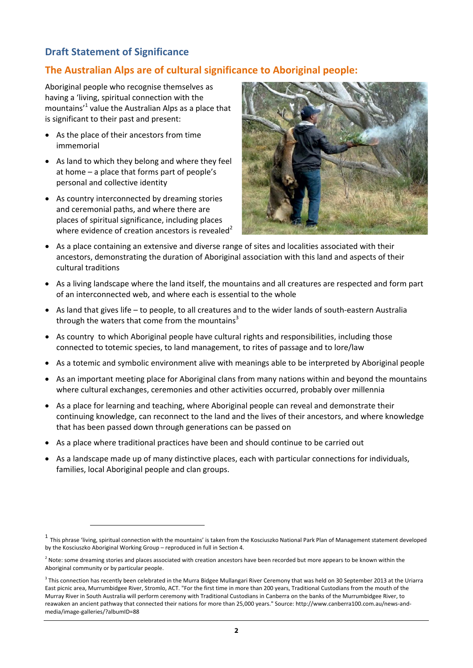## **Draft Statement of Significance**

### **The Australian Alps are of cultural significance to Aboriginal people:**

Aboriginal people who recognise themselves as having a 'living, spiritual connection with the mountains'<sup>1</sup> value the Australian Alps as a place that is significant to their past and present:

- As the place of their ancestors from time immemorial
- As land to which they belong and where they feel at home – a place that forms part of people's personal and collective identity
- As country interconnected by dreaming stories and ceremonial paths, and where there are places of spiritual significance, including places where evidence of creation ancestors is revealed<sup>2</sup>

j



- As a place containing an extensive and diverse range of sites and localities associated with their ancestors, demonstrating the duration of Aboriginal association with this land and aspects of their cultural traditions
- As a living landscape where the land itself, the mountains and all creatures are respected and form part of an interconnected web, and where each is essential to the whole
- As land that gives life to people, to all creatures and to the wider lands of south‐eastern Australia through the waters that come from the mountains<sup>3</sup>
- As country to which Aboriginal people have cultural rights and responsibilities, including those connected to totemic species, to land management, to rites of passage and to lore/law
- As a totemic and symbolic environment alive with meanings able to be interpreted by Aboriginal people
- As an important meeting place for Aboriginal clans from many nations within and beyond the mountains where cultural exchanges, ceremonies and other activities occurred, probably over millennia
- As a place for learning and teaching, where Aboriginal people can reveal and demonstrate their continuing knowledge, can reconnect to the land and the lives of their ancestors, and where knowledge that has been passed down through generations can be passed on
- As a place where traditional practices have been and should continue to be carried out
- As a landscape made up of many distinctive places, each with particular connections for individuals, families, local Aboriginal people and clan groups.

 $1$  This phrase 'living, spiritual connection with the mountains' is taken from the Kosciuszko National Park Plan of Management statement developed by the Kosciuszko Aboriginal Working Group – reproduced in full in Section 4.

 $^2$  Note: some dreaming stories and places associated with creation ancestors have been recorded but more appears to be known within the Aboriginal community or by particular people.

 <sup>3</sup> This connection has recently been celebrated in the Murra Bidgee Mullangari River Ceremony that was held on 30 September 2013 at the Uriarra East picnic area, Murrumbidgee River, Stromlo, ACT. "For the first time in more than 200 years, Traditional Custodians from the mouth of the Murray River in South Australia will perform ceremony with Traditional Custodians in Canberra on the banks of the Murrumbidgee River, to reawaken an ancient pathway that connected their nations for more than 25,000 years." Source: http://www.canberra100.com.au/news‐and‐ media/image‐galleries/?albumID=88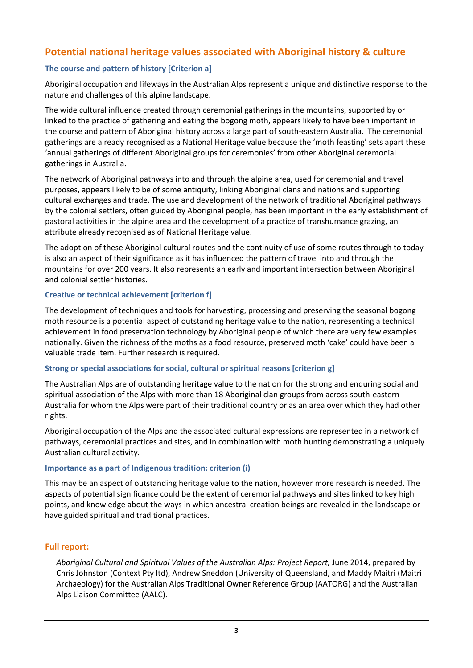### **Potential national heritage values associated with Aboriginal history & culture**

### **The course and pattern of history [Criterion a]**

Aboriginal occupation and lifeways in the Australian Alps represent a unique and distinctive response to the nature and challenges of this alpine landscape.

The wide cultural influence created through ceremonial gatherings in the mountains, supported by or linked to the practice of gathering and eating the bogong moth, appears likely to have been important in the course and pattern of Aboriginal history across a large part of south‐eastern Australia. The ceremonial gatherings are already recognised as a National Heritage value because the 'moth feasting' sets apart these 'annual gatherings of different Aboriginal groups for ceremonies' from other Aboriginal ceremonial gatherings in Australia.

The network of Aboriginal pathways into and through the alpine area, used for ceremonial and travel purposes, appears likely to be of some antiquity, linking Aboriginal clans and nations and supporting cultural exchanges and trade. The use and development of the network of traditional Aboriginal pathways by the colonial settlers, often guided by Aboriginal people, has been important in the early establishment of pastoral activities in the alpine area and the development of a practice of transhumance grazing, an attribute already recognised as of National Heritage value.

The adoption of these Aboriginal cultural routes and the continuity of use of some routes through to today is also an aspect of their significance as it has influenced the pattern of travel into and through the mountains for over 200 years. It also represents an early and important intersection between Aboriginal and colonial settler histories.

### **Creative or technical achievement [criterion f]**

The development of techniques and tools for harvesting, processing and preserving the seasonal bogong moth resource is a potential aspect of outstanding heritage value to the nation, representing a technical achievement in food preservation technology by Aboriginal people of which there are very few examples nationally. Given the richness of the moths as a food resource, preserved moth 'cake' could have been a valuable trade item. Further research is required.

### **Strong or special associations for social, cultural or spiritual reasons [criterion g]**

The Australian Alps are of outstanding heritage value to the nation for the strong and enduring social and spiritual association of the Alps with more than 18 Aboriginal clan groups from across south‐eastern Australia for whom the Alps were part of their traditional country or as an area over which they had other rights.

Aboriginal occupation of the Alps and the associated cultural expressions are represented in a network of pathways, ceremonial practices and sites, and in combination with moth hunting demonstrating a uniquely Australian cultural activity.

### **Importance as a part of Indigenous tradition: criterion (i)**

This may be an aspect of outstanding heritage value to the nation, however more research is needed. The aspects of potential significance could be the extent of ceremonial pathways and sites linked to key high points, and knowledge about the ways in which ancestral creation beings are revealed in the landscape or have guided spiritual and traditional practices.

### **Full report:**

*Aboriginal Cultural and Spiritual Values of the Australian Alps: Project Report,* June 2014, prepared by Chris Johnston (Context Pty ltd), Andrew Sneddon (University of Queensland, and Maddy Maitri (Maitri Archaeology) for the Australian Alps Traditional Owner Reference Group (AATORG) and the Australian Alps Liaison Committee (AALC).